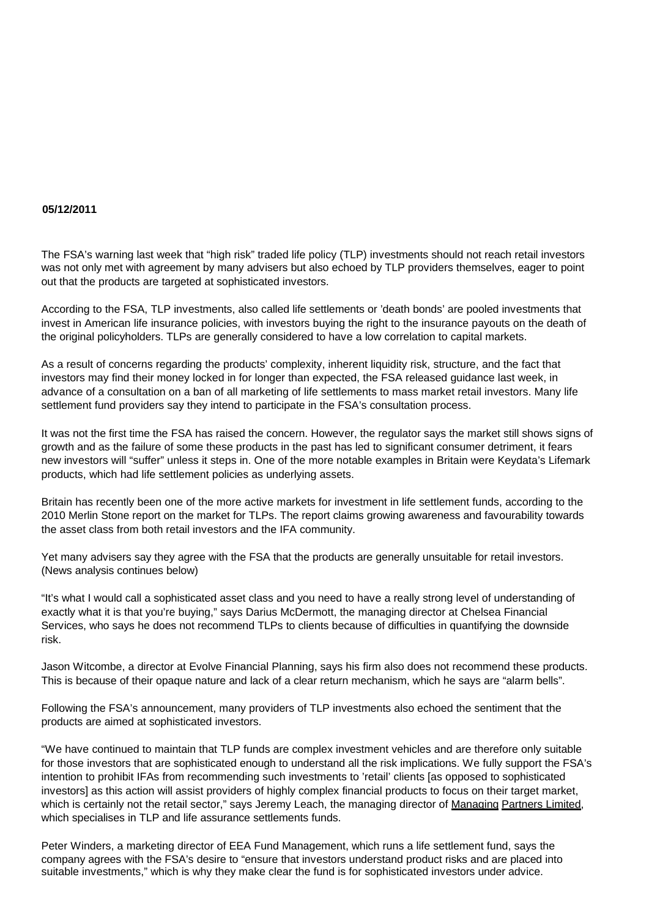## **05/12/2011**

The FSA's warning last week that "high risk" traded life policy (TLP) investments should not reach retail investors was not only met with agreement by many advisers but also echoed by TLP providers themselves, eager to point out that the products are targeted at sophisticated investors.

According to the FSA, TLP investments, also called life settlements or 'death bonds' are pooled investments that invest in American life insurance policies, with investors buying the right to the insurance payouts on the death of the original policyholders. TLPs are generally considered to have a low correlation to capital markets.

As a result of concerns regarding the products' complexity, inherent liquidity risk, structure, and the fact that investors may find their money locked in for longer than expected, the FSA released guidance last week, in advance of a consultation on a ban of all marketing of life settlements to mass market retail investors. Many life settlement fund providers say they intend to participate in the FSA's consultation process.

It was not the first time the FSA has raised the concern. However, the regulator says the market still shows signs of growth and as the failure of some these products in the past has led to significant consumer detriment, it fears new investors will "suffer" unless it steps in. One of the more notable examples in Britain were Keydata's Lifemark products, which had life settlement policies as underlying assets.

Britain has recently been one of the more active markets for investment in life settlement funds, according to the 2010 Merlin Stone report on the market for TLPs. The report claims growing awareness and favourability towards the asset class from both retail investors and the IFA community.

Yet many advisers say they agree with the FSA that the products are generally unsuitable for retail investors. (News analysis continues below)

"It's what I would call a sophisticated asset class and you need to have a really strong level of understanding of exactly what it is that you're buying," says Darius McDermott, the managing director at Chelsea Financial Services, who says he does not recommend TLPs to clients because of difficulties in quantifying the downside risk.

Jason Witcombe, a director at Evolve Financial Planning, says his firm also does not recommend these products. This is because of their opaque nature and lack of a clear return mechanism, which he says are "alarm bells".

Following the FSA's announcement, many providers of TLP investments also echoed the sentiment that the products are aimed at sophisticated investors.

"We have continued to maintain that TLP funds are complex investment vehicles and are therefore only suitable for those investors that are sophisticated enough to understand all the risk implications. We fully support the FSA's intention to prohibit IFAs from recommending such investments to 'retail' clients [as opposed to sophisticated investors] as this action will assist providers of highly complex financial products to focus on their target market, which is certainly not the retail sector," says Jeremy Leach, the managing director of Managing Partners Limited, which specialises in TLP and life assurance settlements funds.

Peter Winders, a marketing director of EEA Fund Management, which runs a life settlement fund, says the company agrees with the FSA's desire to "ensure that investors understand product risks and are placed into suitable investments," which is why they make clear the fund is for sophisticated investors under advice.